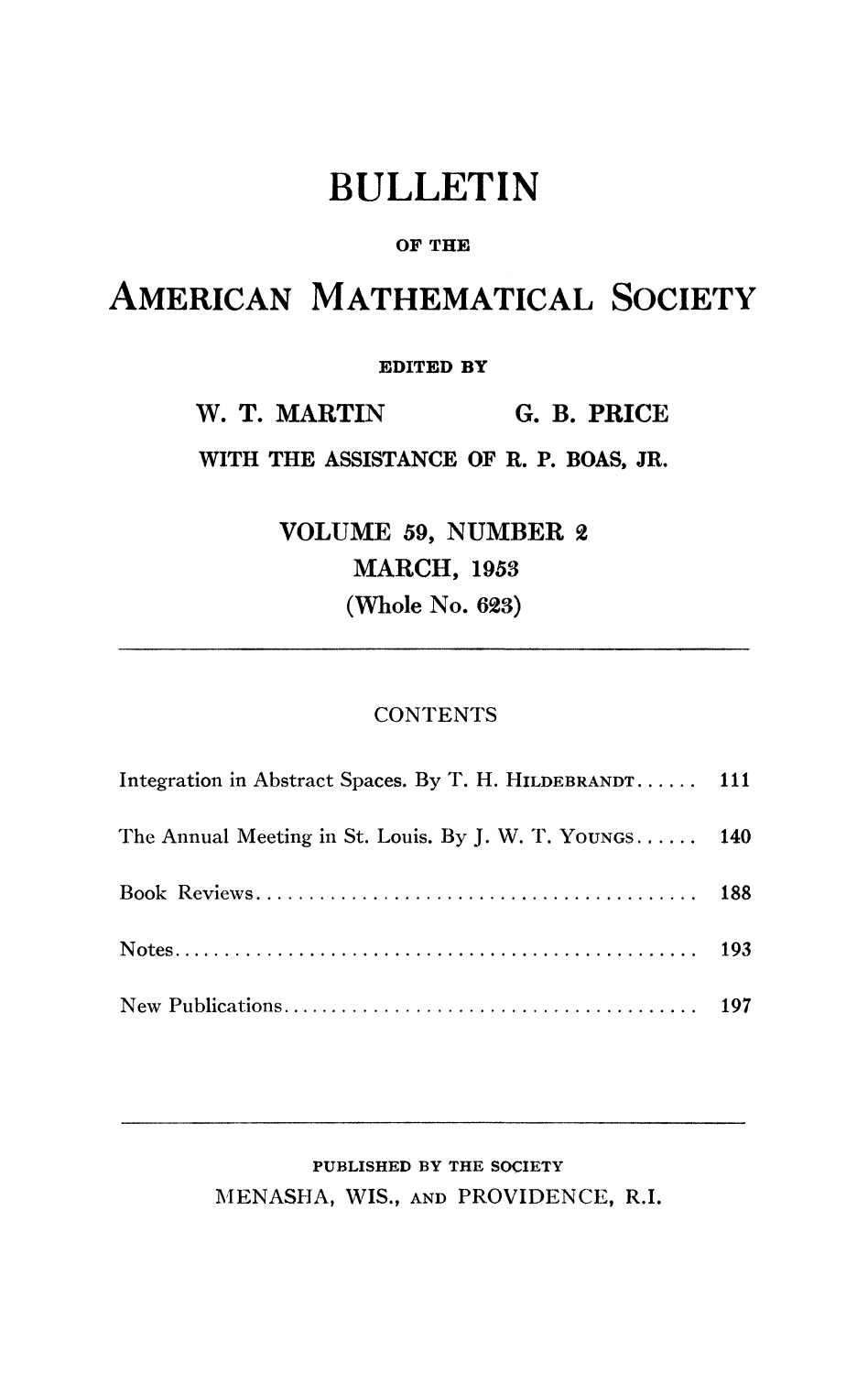# BULLETIN

### **OF THE**

## AMERICAN MATHEMATICAL SOCIETY

#### **EDITED BY**

**W. T. MARTIN G. B. PRICE** 

**WITH THE ASSISTANCE OF R. P. BOAS, JR.** 

**VOLUME 59, NUMBER 2 MARCH, 1953 (Whole No. 623)** 

#### **CONTENTS**

| Integration in Abstract Spaces. By T. H. HILDEBRANDT 111 |  |
|----------------------------------------------------------|--|
| The Annual Meeting in St. Louis. By J. W. T. YOUNGS 140  |  |
|                                                          |  |
|                                                          |  |
|                                                          |  |

### **PUBLISHED BY THE SOCIETY**  MENASHA, WIS., AND PROVIDENCE, R.I.